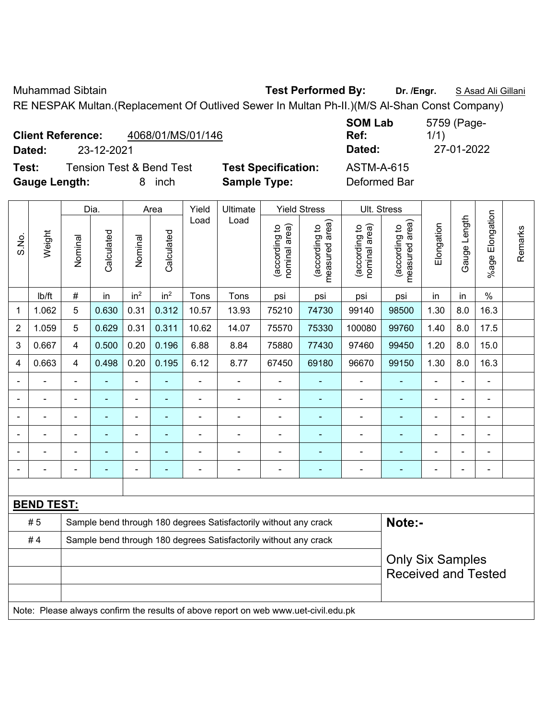Muhammad Sibtain **Test Performed By: Dr. /Engr.** S Asad Ali Gillani RE NESPAK Multan.(Replacement Of Outlived Sewer In Multan Ph-II.)(M/S Al-Shan Const Company)

|                          |            |                                     | RE NESPAK Multan. (Replacement Of Outlived Sewer In Multan Ph-II.) (M/S AI-Shan Const Company) |                   |             |
|--------------------------|------------|-------------------------------------|------------------------------------------------------------------------------------------------|-------------------|-------------|
|                          |            |                                     |                                                                                                | <b>SOM Lab</b>    | 5759 (Page- |
| <b>Client Reference:</b> |            | 4068/01/MS/01/146                   |                                                                                                | Ref:              | 1/1)        |
| Dated:                   | 23-12-2021 |                                     |                                                                                                | Dated:            | 27-01-2022  |
| Test:                    |            | <b>Tension Test &amp; Bend Test</b> | <b>Test Specification:</b>                                                                     | <b>ASTM-A-615</b> |             |
| <b>Gauge Length:</b>     |            | inch                                | <b>Sample Type:</b>                                                                            | Deformed Bar      |             |

|                          |                   |                | Dia.           |                          | Area            | Yield          | Ultimate                                                                            |                                | <b>Yield Stress</b>             |                                | Ult. Stress                     |                |                |                         |         |
|--------------------------|-------------------|----------------|----------------|--------------------------|-----------------|----------------|-------------------------------------------------------------------------------------|--------------------------------|---------------------------------|--------------------------------|---------------------------------|----------------|----------------|-------------------------|---------|
| S.No.                    | Weight            | Nominal        | Calculated     | Nominal                  | Calculated      | Load           | Load                                                                                | nominal area)<br>(according to | (according to<br>measured area) | nominal area)<br>(according to | measured area)<br>(according to | Elongation     | Gauge Length   | Elongation<br>$%$ age I | Remarks |
|                          | Ib/ft             | $\#$           | in             | in <sup>2</sup>          | in <sup>2</sup> | Tons           | Tons                                                                                | psi                            | psi                             | psi                            | psi                             | in             | in             | $\%$                    |         |
| 1                        | 1.062             | 5              | 0.630          | 0.31                     | 0.312           | 10.57          | 13.93                                                                               | 75210                          | 74730                           | 99140                          | 98500                           | 1.30           | 8.0            | 16.3                    |         |
| $\overline{2}$           | 1.059             | 5              | 0.629          | 0.31                     | 0.311           | 10.62          | 14.07                                                                               | 75570                          | 75330                           | 100080                         | 99760                           | 1.40           | 8.0            | 17.5                    |         |
| 3                        | 0.667             | $\overline{4}$ | 0.500          | 0.20                     | 0.196           | 6.88           | 8.84                                                                                | 75880                          | 77430                           | 97460                          | 99450                           | 1.20           | 8.0            | 15.0                    |         |
| $\overline{4}$           | 0.663             | $\overline{4}$ | 0.498          | 0.20                     | 0.195           | 6.12           | 8.77                                                                                | 67450                          | 69180                           | 96670                          | 99150                           | 1.30           | 8.0            | 16.3                    |         |
|                          | ÷                 | $\blacksquare$ | ÷              | $\blacksquare$           | ä,              | ä,             | $\blacksquare$                                                                      | $\blacksquare$                 | $\blacksquare$                  | $\blacksquare$                 | ÷,                              | ä,             | $\blacksquare$ | ä,                      |         |
|                          | ÷.                | $\blacksquare$ | $\blacksquare$ | $\blacksquare$           | $\blacksquare$  | ä,             | $\blacksquare$                                                                      | $\blacksquare$                 | $\blacksquare$                  | $\blacksquare$                 | ä,                              | Ē,             | ä,             | $\blacksquare$          |         |
|                          |                   |                | $\blacksquare$ | $\overline{\phantom{a}}$ | ٠               | ÷              | $\blacksquare$                                                                      | $\blacksquare$                 | $\blacksquare$                  | $\blacksquare$                 | ۰                               | Ē,             | -              | $\blacksquare$          |         |
|                          |                   |                | $\blacksquare$ | $\blacksquare$           |                 |                |                                                                                     |                                |                                 | $\blacksquare$                 |                                 |                |                | $\blacksquare$          |         |
|                          |                   |                |                | ÷                        |                 |                |                                                                                     |                                |                                 |                                |                                 |                |                | ä,                      |         |
| $\overline{\phantom{0}}$ |                   | $\blacksquare$ | $\blacksquare$ | $\blacksquare$           | ٠               | $\blacksquare$ | $\blacksquare$                                                                      | $\blacksquare$                 | $\blacksquare$                  | $\blacksquare$                 | ۰                               | $\blacksquare$ | $\blacksquare$ | $\blacksquare$          |         |
|                          |                   |                |                |                          |                 |                |                                                                                     |                                |                                 |                                |                                 |                |                |                         |         |
|                          | <b>BEND TEST:</b> |                |                |                          |                 |                |                                                                                     |                                |                                 |                                |                                 |                |                |                         |         |
|                          | # 5               |                |                |                          |                 |                | Sample bend through 180 degrees Satisfactorily without any crack                    |                                |                                 |                                | Note:-                          |                |                |                         |         |
|                          | #4                |                |                |                          |                 |                | Sample bend through 180 degrees Satisfactorily without any crack                    |                                |                                 |                                |                                 |                |                |                         |         |
|                          |                   |                |                |                          |                 |                |                                                                                     |                                |                                 |                                | <b>Only Six Samples</b>         |                |                |                         |         |
|                          |                   |                |                |                          |                 |                |                                                                                     |                                |                                 |                                | <b>Received and Tested</b>      |                |                |                         |         |
|                          |                   |                |                |                          |                 |                |                                                                                     |                                |                                 |                                |                                 |                |                |                         |         |
|                          |                   |                |                |                          |                 |                | Note: Please always confirm the results of above report on web www.uet-civil.edu.pk |                                |                                 |                                |                                 |                |                |                         |         |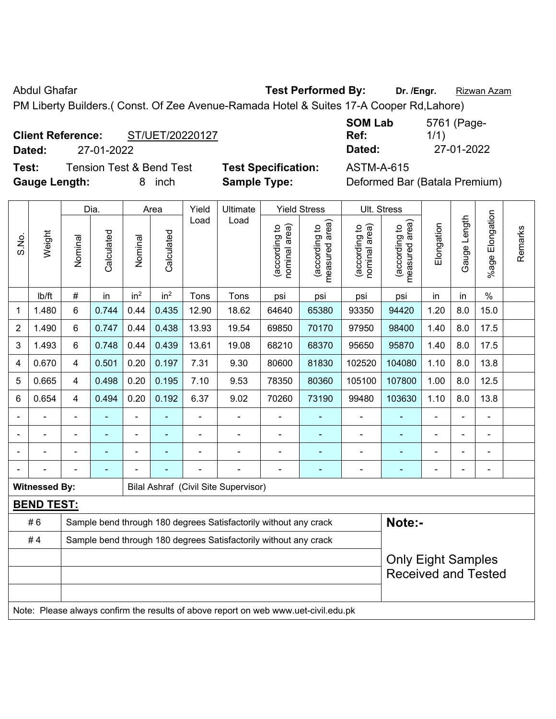Abdul Ghafar **Test Performed By:** Dr. /Engr. **Rizwan Azam** 

PM Liberty Builders.( Const. Of Zee Avenue-Ramada Hotel & Suites 17-A Cooper Rd,Lahore)

## **Client Reference:** ST/UET/20220127

**Dated:** 27-01-2022 **Dated:** 27-01-2022

**Test:** Tension Test & Bend Test **Test Specification:** ASTM-A-615 **Gauge Length:** 8 inch **Sample Type:** Deformed Bar (Batala Premium)

| <b>SOM Lab</b> | 5761 (Page- |
|----------------|-------------|
| Ref:           | 1/1)        |
| Dated:         | 27-01-2022  |

|                |                      |                                                                  | Dia.                     |                 | Area            | Yield | Ultimate                                                                            |                                | <b>Yield Stress</b>             | Ult. Stress                    |                                    |                |                |                       |         |
|----------------|----------------------|------------------------------------------------------------------|--------------------------|-----------------|-----------------|-------|-------------------------------------------------------------------------------------|--------------------------------|---------------------------------|--------------------------------|------------------------------------|----------------|----------------|-----------------------|---------|
| S.No.          | Weight               | Nominal                                                          | Calculated               | Nominal         | Calculated      | Load  | Load                                                                                | nominal area)<br>(according to | (according to<br>measured area) | nominal area)<br>(according to | area)<br>(according to<br>measured | Elongation     | Gauge Length   | Elongation<br>$%$ age | Remarks |
|                | Ib/ft                | #                                                                | in                       | in <sup>2</sup> | in <sup>2</sup> | Tons  | Tons                                                                                | psi                            | psi                             | psi                            | psi                                | in             | in             | $\%$                  |         |
| 1              | 1.480                | 6                                                                | 0.744                    | 0.44            | 0.435           | 12.90 | 18.62                                                                               | 64640                          | 65380                           | 93350                          | 94420                              | 1.20           | 8.0            | 15.0                  |         |
| $\overline{2}$ | 1.490                | 6                                                                | 0.747                    | 0.44            | 0.438           | 13.93 | 19.54                                                                               | 69850                          | 70170                           | 97950                          | 98400                              | 1.40           | 8.0            | 17.5                  |         |
| 3              | 1.493                | 6                                                                | 0.748                    | 0.44            | 0.439           | 13.61 | 19.08                                                                               | 68210                          | 68370                           | 95650                          | 95870                              | 1.40           | 8.0            | 17.5                  |         |
| 4              | 0.670                | 4                                                                | 0.501                    | 0.20            | 0.197           | 7.31  | 9.30                                                                                | 80600                          | 81830                           | 102520                         | 104080                             | 1.10           | 8.0            | 13.8                  |         |
| 5              | 0.665                | 4                                                                | 0.498                    | 0.20            | 0.195           | 7.10  | 9.53                                                                                | 78350                          | 80360                           | 105100                         | 107800                             | 1.00           | 8.0            | 12.5                  |         |
| 6              | 0.654                | 4                                                                | 0.494                    | 0.20            | 0.192           | 6.37  | 9.02                                                                                | 70260                          | 73190                           | 99480                          | 103630                             | 1.10           | 8.0            | 13.8                  |         |
|                |                      | $\blacksquare$                                                   | ۰                        | $\blacksquare$  | ä,              | ÷     | ä,                                                                                  | $\blacksquare$                 | $\blacksquare$                  | ä,                             | ä,                                 | ä,             | $\blacksquare$ | ä,                    |         |
|                |                      |                                                                  |                          | $\blacksquare$  |                 |       |                                                                                     | $\blacksquare$                 | ٠                               |                                | ÷,                                 |                |                | $\blacksquare$        |         |
|                |                      |                                                                  |                          |                 |                 |       |                                                                                     | -                              |                                 |                                |                                    | -              |                | ä,                    |         |
|                |                      |                                                                  | $\overline{\phantom{0}}$ |                 |                 |       |                                                                                     | -                              | ۰                               | $\overline{a}$                 | ٠                                  | $\overline{a}$ | $\blacksquare$ | $\overline{a}$        |         |
|                | <b>Witnessed By:</b> |                                                                  |                          |                 |                 |       | <b>Bilal Ashraf (Civil Site Supervisor)</b>                                         |                                |                                 |                                |                                    |                |                |                       |         |
|                | <b>BEND TEST:</b>    |                                                                  |                          |                 |                 |       |                                                                                     |                                |                                 |                                |                                    |                |                |                       |         |
|                | #6                   |                                                                  |                          |                 |                 |       | Sample bend through 180 degrees Satisfactorily without any crack                    |                                |                                 |                                | Note:-                             |                |                |                       |         |
|                | #4                   | Sample bend through 180 degrees Satisfactorily without any crack |                          |                 |                 |       |                                                                                     |                                |                                 |                                |                                    |                |                |                       |         |
|                |                      |                                                                  |                          |                 |                 |       |                                                                                     |                                |                                 |                                | <b>Only Eight Samples</b>          |                |                |                       |         |
|                |                      |                                                                  |                          |                 |                 |       |                                                                                     |                                |                                 |                                | <b>Received and Tested</b>         |                |                |                       |         |
|                |                      |                                                                  |                          |                 |                 |       |                                                                                     |                                |                                 |                                |                                    |                |                |                       |         |
|                |                      |                                                                  |                          |                 |                 |       | Note: Please always confirm the results of above report on web www.uet-civil.edu.pk |                                |                                 |                                |                                    |                |                |                       |         |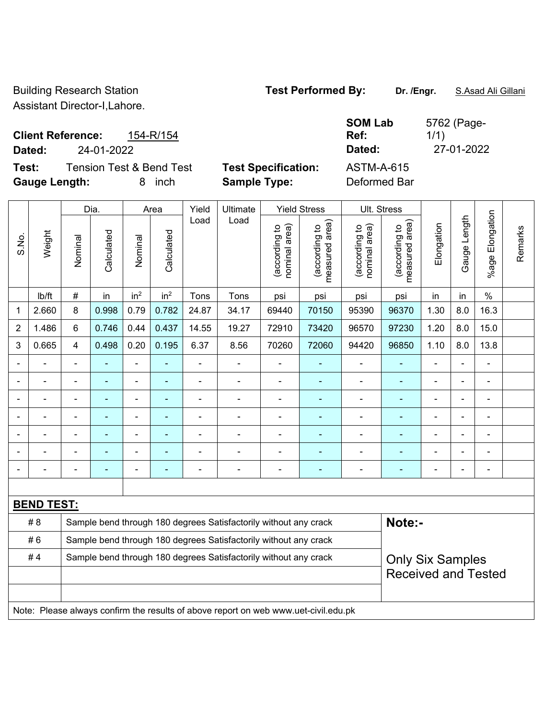Building Research Station **Test Performed By: Dr. /Engr.** S.Asad Ali Gillani Assistant Director-I,Lahore.

**Client Reference:** 154-R/154 **Dated:** 24-01-2022 **Dated:** 27-01-2022

**Test:** Tension Test & Bend Test **Test Specification:** ASTM-A-615 **Gauge Length:** 8 inch **Sample Type:** Deformed Bar

**SOM Lab Ref:**  5762 (Page-1/1)

|       |                   |         | Dia.                     |                 | Area                     | Yield          | Ultimate                                                                            |                                | <b>Yield Stress</b>                         |                                | Ult. Stress                     |                |                |                 |         |  |
|-------|-------------------|---------|--------------------------|-----------------|--------------------------|----------------|-------------------------------------------------------------------------------------|--------------------------------|---------------------------------------------|--------------------------------|---------------------------------|----------------|----------------|-----------------|---------|--|
| S.No. | Weight            | Nominal | Calculated               | Nominal         | Calculated               | Load           | Load                                                                                | (according to<br>nominal area) | (according to<br>neasured area)<br>measured | nominal area)<br>(according to | measured area)<br>(according to | Elongation     | Gauge Length   | %age Elongation | Remarks |  |
|       | Ib/ft             | $\#$    | in                       | in <sup>2</sup> | in <sup>2</sup>          | Tons           | Tons                                                                                | psi                            | psi                                         | psi                            | psi                             | in             | in             | $\%$            |         |  |
| 1     | 2.660             | 8       | 0.998                    | 0.79            | 0.782                    | 24.87          | 34.17                                                                               | 69440                          | 70150                                       | 95390                          | 96370                           | 1.30           | 8.0            | 16.3            |         |  |
| 2     | 1.486             | $\,6\,$ | 0.746                    | 0.44            | 0.437                    | 14.55          | 19.27                                                                               | 72910                          | 73420                                       | 96570                          | 97230                           | 1.20           | 8.0            | 15.0            |         |  |
| 3     | 0.665             | 4       | 0.498                    | 0.20            | 0.195                    | 6.37           | 8.56                                                                                | 70260                          | 72060                                       | 94420                          | 96850                           | 1.10           | 8.0            | 13.8            |         |  |
|       |                   | ä,      | ä,                       | $\blacksquare$  |                          | $\blacksquare$ | $\frac{1}{2}$                                                                       | ä,                             | $\blacksquare$                              | $\qquad \qquad \blacksquare$   | $\blacksquare$                  | ä,             | $\blacksquare$ | $\blacksquare$  |         |  |
|       | ٠                 | ÷       | ÷                        | ÷,              | $\blacksquare$           | $\blacksquare$ | $\frac{1}{2}$                                                                       | $\blacksquare$                 | $\blacksquare$                              | $\overline{\phantom{a}}$       | $\blacksquare$                  | ÷              | $\blacksquare$ | $\blacksquare$  |         |  |
|       |                   | ÷,      | ä,                       | ÷,              | $\overline{\phantom{a}}$ | ÷,             | ä,                                                                                  | $\blacksquare$                 | $\blacksquare$                              | ÷,                             | $\blacksquare$                  | L,             | ä,             | $\blacksquare$  |         |  |
|       |                   |         | ÷                        | $\blacksquare$  |                          |                | $\blacksquare$                                                                      |                                | $\blacksquare$                              | ÷                              | $\blacksquare$                  | $\blacksquare$ |                |                 |         |  |
|       |                   |         |                          |                 |                          |                | $\blacksquare$                                                                      |                                |                                             | ÷                              |                                 |                |                |                 |         |  |
|       |                   |         | $\blacksquare$           | $\blacksquare$  |                          |                | $\blacksquare$                                                                      |                                |                                             | ÷                              | -                               |                | $\blacksquare$ | $\blacksquare$  |         |  |
|       |                   | ٠       | $\overline{\phantom{0}}$ | $\blacksquare$  | $\overline{\phantom{a}}$ | Ē              | $\overline{\phantom{a}}$                                                            | $\blacksquare$                 | $\overline{\phantom{a}}$                    | $\qquad \qquad \blacksquare$   | ۰                               | ۰              | $\blacksquare$ | $\blacksquare$  |         |  |
|       |                   |         |                          |                 |                          |                |                                                                                     |                                |                                             |                                |                                 |                |                |                 |         |  |
|       | <b>BEND TEST:</b> |         |                          |                 |                          |                |                                                                                     |                                |                                             |                                |                                 |                |                |                 |         |  |
|       | #8                |         |                          |                 |                          |                | Sample bend through 180 degrees Satisfactorily without any crack                    |                                |                                             |                                | Note:-                          |                |                |                 |         |  |
|       | #6                |         |                          |                 |                          |                | Sample bend through 180 degrees Satisfactorily without any crack                    |                                |                                             |                                |                                 |                |                |                 |         |  |
|       | #4                |         |                          |                 |                          |                | Sample bend through 180 degrees Satisfactorily without any crack                    |                                |                                             |                                | <b>Only Six Samples</b>         |                |                |                 |         |  |
|       |                   |         |                          |                 |                          |                |                                                                                     |                                |                                             |                                | <b>Received and Tested</b>      |                |                |                 |         |  |
|       |                   |         |                          |                 |                          |                |                                                                                     |                                |                                             |                                |                                 |                |                |                 |         |  |
|       |                   |         |                          |                 |                          |                | Note: Please always confirm the results of above report on web www.uet-civil.edu.pk |                                |                                             |                                |                                 |                |                |                 |         |  |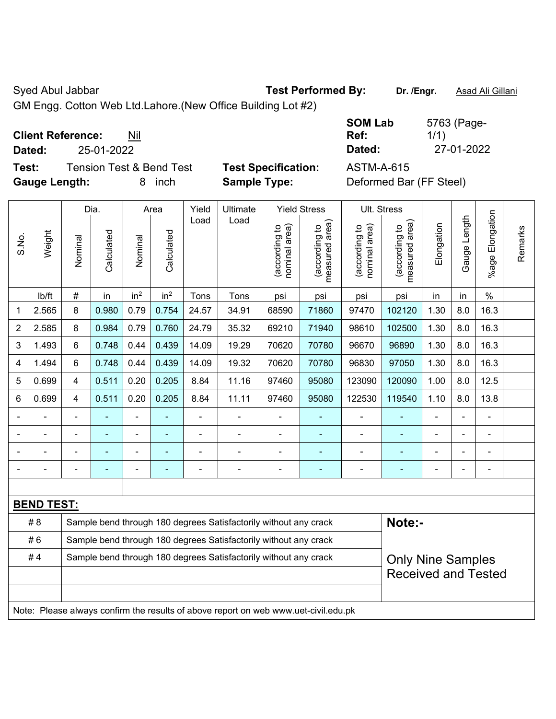Syed Abul Jabbar **Test Performed By:** Dr. /Engr. **Asad Ali Gillani** Company of Test Performed By:

GM Engg. Cotton Web Ltd.Lahore.(New Office Building Lot #2)

**Client Reference:** Nil

**Test:** Tension Test & Bend Test **Test Specification:** ASTM-A-615 **Gauge Length:** 8 inch **Sample Type:** Deformed Bar (FF Steel)

**SOM Lab Ref:**  5763 (Page-1/1) **Dated:** 25-01-2022 **Dated:** 27-01-2022

|                |                   |                | Dia.           |                 | Area                     | Yield | Ultimate                                                                            |                                | <b>Yield Stress</b>             |                                | Ult. Stress                     |            |              |                           |         |
|----------------|-------------------|----------------|----------------|-----------------|--------------------------|-------|-------------------------------------------------------------------------------------|--------------------------------|---------------------------------|--------------------------------|---------------------------------|------------|--------------|---------------------------|---------|
| S.No.          | Weight            | Nominal        | Calculated     | Nominal         | Calculated               | Load  | Load                                                                                | nominal area)<br>(according to | (according to<br>measured area) | nominal area)<br>(according to | measured area)<br>(according to | Elongation | Gauge Length | Elongation<br>$%$ age $ $ | Remarks |
|                | lb/ft             | $\#$           | in             | in <sup>2</sup> | in <sup>2</sup>          | Tons  | Tons                                                                                | psi                            | psi                             | psi                            | psi                             | in         | in           | $\frac{0}{0}$             |         |
| $\mathbf{1}$   | 2.565             | 8              | 0.980          | 0.79            | 0.754                    | 24.57 | 34.91                                                                               | 68590                          | 71860                           | 97470                          | 102120                          | 1.30       | 8.0          | 16.3                      |         |
| $\overline{2}$ | 2.585             | 8              | 0.984          | 0.79            | 0.760                    | 24.79 | 35.32                                                                               | 69210                          | 71940                           | 98610                          | 102500                          | 1.30       | 8.0          | 16.3                      |         |
| 3              | 1.493             | 6              | 0.748          | 0.44            | 0.439                    | 14.09 | 19.29                                                                               | 70620                          | 70780                           | 96670                          | 96890                           | 1.30       | 8.0          | 16.3                      |         |
| 4              | 1.494             | 6              | 0.748          | 0.44            | 0.439                    | 14.09 | 19.32                                                                               | 70620                          | 70780                           | 96830                          | 97050                           | 1.30       | 8.0          | 16.3                      |         |
| 5              | 0.699             | $\overline{4}$ | 0.511          | 0.20            | 0.205                    | 8.84  | 11.16                                                                               | 97460                          | 95080                           | 123090                         | 120090                          | 1.00       | 8.0          | 12.5                      |         |
| 6              | 0.699             | $\overline{4}$ | 0.511          | 0.20            | 0.205                    | 8.84  | 11.11                                                                               | 97460                          | 95080                           | 122530                         | 119540                          | 1.10       | 8.0          | 13.8                      |         |
|                |                   | $\blacksquare$ | $\blacksquare$ | ÷,              | $\blacksquare$           | ä,    | ä,                                                                                  | ÷,                             | $\blacksquare$                  | $\blacksquare$                 |                                 | ÷,         | ÷,           | L,                        |         |
|                |                   |                | $\blacksquare$ | $\blacksquare$  |                          |       |                                                                                     | $\overline{\phantom{0}}$       |                                 |                                |                                 |            |              | $\blacksquare$            |         |
|                |                   |                |                | Ē,              |                          |       |                                                                                     |                                |                                 | $\blacksquare$                 |                                 |            |              |                           |         |
|                |                   |                | ÷              | $\blacksquare$  | $\overline{\phantom{a}}$ | Ē,    | $\overline{\phantom{a}}$                                                            | ÷                              | $\blacksquare$                  | $\blacksquare$                 |                                 | ÷          | ۰            | $\overline{a}$            |         |
|                |                   |                |                |                 |                          |       |                                                                                     |                                |                                 |                                |                                 |            |              |                           |         |
|                | <b>BEND TEST:</b> |                |                |                 |                          |       |                                                                                     |                                |                                 |                                |                                 |            |              |                           |         |
|                | # 8               |                |                |                 |                          |       | Sample bend through 180 degrees Satisfactorily without any crack                    |                                |                                 |                                | Note:-                          |            |              |                           |         |
|                | #6                |                |                |                 |                          |       | Sample bend through 180 degrees Satisfactorily without any crack                    |                                |                                 |                                |                                 |            |              |                           |         |
|                | #4                |                |                |                 |                          |       | Sample bend through 180 degrees Satisfactorily without any crack                    |                                |                                 |                                | <b>Only Nine Samples</b>        |            |              |                           |         |
|                |                   |                |                |                 |                          |       |                                                                                     |                                |                                 |                                | <b>Received and Tested</b>      |            |              |                           |         |
|                |                   |                |                |                 |                          |       |                                                                                     |                                |                                 |                                |                                 |            |              |                           |         |
|                |                   |                |                |                 |                          |       | Note: Please always confirm the results of above report on web www.uet-civil.edu.pk |                                |                                 |                                |                                 |            |              |                           |         |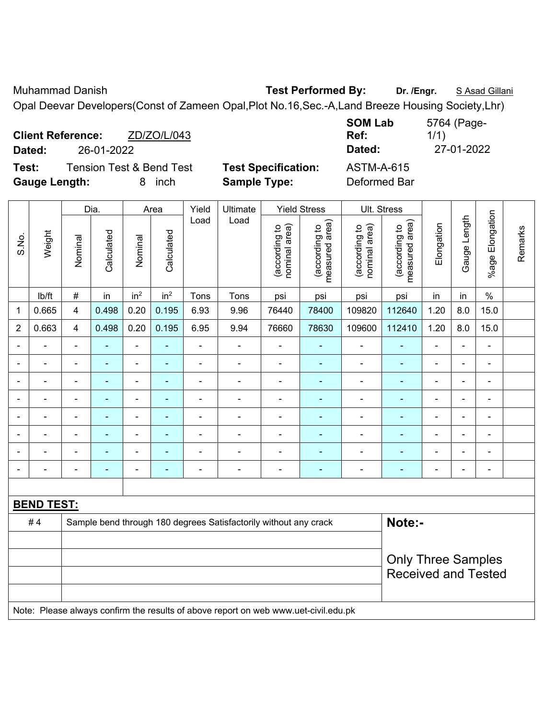Muhammad Danish **Test Performed By:** Dr. /Engr. **S** Asad Gillani

Opal Deevar Developers(Const of Zameen Opal,Plot No.16,Sec.-A,Land Breeze Housing Society,Lhr)

| <b>Client Reference:</b><br>ZD/ZO/L/043<br>26-01-2022<br>Dated: |                            | <b>SOM Lab</b><br>Ref:<br>Dated: | 5764 (Page-<br>1/1)<br>27-01-2022 |
|-----------------------------------------------------------------|----------------------------|----------------------------------|-----------------------------------|
| Test:<br>Tension Test & Bend Test                               | <b>Test Specification:</b> | ASTM-A-615                       |                                   |
| <b>Gauge Length:</b><br>inch<br>8                               | <b>Sample Type:</b>        | Deformed Bar                     |                                   |

|                          |                   |                          | Dia.           |                          | Area                     | Yield          | Ultimate                                                                            |                                | <b>Yield Stress</b>             |                                | Ult. Stress                     |                |                |                         |         |
|--------------------------|-------------------|--------------------------|----------------|--------------------------|--------------------------|----------------|-------------------------------------------------------------------------------------|--------------------------------|---------------------------------|--------------------------------|---------------------------------|----------------|----------------|-------------------------|---------|
| S.No.                    | Weight            | Nominal                  | Calculated     | Nominal                  | Calculated               | Load           | Load                                                                                | nominal area)<br>(according to | (according to<br>measured area) | nominal area)<br>(according to | measured area)<br>(according to | Elongation     | Gauge Length   | Elongation<br>$%$ age I | Remarks |
|                          | lb/ft             | $\#$                     | in             | in <sup>2</sup>          | in <sup>2</sup>          | Tons           | Tons                                                                                | psi                            | psi                             | psi                            | psi                             | in             | in             | $\%$                    |         |
| 1                        | 0.665             | $\overline{\mathbf{4}}$  | 0.498          | 0.20                     | 0.195                    | 6.93           | 9.96                                                                                | 76440                          | 78400                           | 109820                         | 112640                          | 1.20           | 8.0            | 15.0                    |         |
| $\overline{2}$           | 0.663             | 4                        | 0.498          | 0.20                     | 0.195                    | 6.95           | 9.94                                                                                | 76660                          | 78630                           | 109600                         | 112410                          | 1.20           | 8.0            | 15.0                    |         |
| $\blacksquare$           | ä,                | $\blacksquare$           | $\blacksquare$ | $\blacksquare$           | ÷,                       | $\blacksquare$ | $\blacksquare$                                                                      | $\blacksquare$                 | $\overline{\phantom{a}}$        | $\blacksquare$                 | ÷                               | $\blacksquare$ | ÷,             | $\blacksquare$          |         |
| $\overline{\phantom{0}}$ | ä,                | $\blacksquare$           | $\blacksquare$ | $\overline{a}$           | $\blacksquare$           | ä,             | $\blacksquare$                                                                      | $\blacksquare$                 | $\blacksquare$                  | $\blacksquare$                 | ÷                               | $\blacksquare$ | ÷,             | $\blacksquare$          |         |
| $\blacksquare$           | ÷,                | $\overline{\phantom{a}}$ | $\blacksquare$ | $\blacksquare$           | $\blacksquare$           | ä,             | $\blacksquare$                                                                      | $\blacksquare$                 | $\blacksquare$                  | $\blacksquare$                 | ÷                               | $\blacksquare$ | $\blacksquare$ | $\blacksquare$          |         |
| $\blacksquare$           | ä,                | $\blacksquare$           | $\blacksquare$ | $\overline{\phantom{0}}$ | $\blacksquare$           | $\blacksquare$ | $\blacksquare$                                                                      | $\blacksquare$                 | $\blacksquare$                  | $\blacksquare$                 | ÷                               | $\blacksquare$ | ÷,             | $\blacksquare$          |         |
|                          | $\blacksquare$    | ä,                       | $\blacksquare$ | ÷,                       | ÷                        | Ē,             | $\blacksquare$                                                                      | $\blacksquare$                 | $\blacksquare$                  | ÷                              | ٠                               | ä,             | $\blacksquare$ | $\blacksquare$          |         |
|                          |                   |                          | $\blacksquare$ | $\blacksquare$           | $\overline{\phantom{a}}$ |                |                                                                                     |                                | $\blacksquare$                  | $\blacksquare$                 |                                 |                | $\blacksquare$ | $\blacksquare$          |         |
|                          | $\blacksquare$    |                          |                | ÷                        |                          |                | $\blacksquare$                                                                      | $\blacksquare$                 | $\overline{\phantom{a}}$        | L,                             |                                 |                |                | $\blacksquare$          |         |
| $\overline{\phantom{0}}$ | $\blacksquare$    | $\blacksquare$           | $\blacksquare$ | ÷                        | ٠                        | ٠              | $\blacksquare$                                                                      | $\blacksquare$                 | $\overline{\phantom{a}}$        | ۳                              | ۰                               | $\blacksquare$ | ÷              | $\overline{a}$          |         |
|                          |                   |                          |                |                          |                          |                |                                                                                     |                                |                                 |                                |                                 |                |                |                         |         |
|                          | <b>BEND TEST:</b> |                          |                |                          |                          |                |                                                                                     |                                |                                 |                                |                                 |                |                |                         |         |
|                          | #4                |                          |                |                          |                          |                | Sample bend through 180 degrees Satisfactorily without any crack                    |                                |                                 |                                | Note:-                          |                |                |                         |         |
|                          |                   |                          |                |                          |                          |                |                                                                                     |                                |                                 |                                |                                 |                |                |                         |         |
|                          |                   |                          |                |                          |                          |                |                                                                                     |                                |                                 |                                | <b>Only Three Samples</b>       |                |                |                         |         |
|                          |                   |                          |                |                          |                          |                |                                                                                     |                                |                                 |                                | <b>Received and Tested</b>      |                |                |                         |         |
|                          |                   |                          |                |                          |                          |                |                                                                                     |                                |                                 |                                |                                 |                |                |                         |         |
|                          |                   |                          |                |                          |                          |                | Note: Please always confirm the results of above report on web www.uet-civil.edu.pk |                                |                                 |                                |                                 |                |                |                         |         |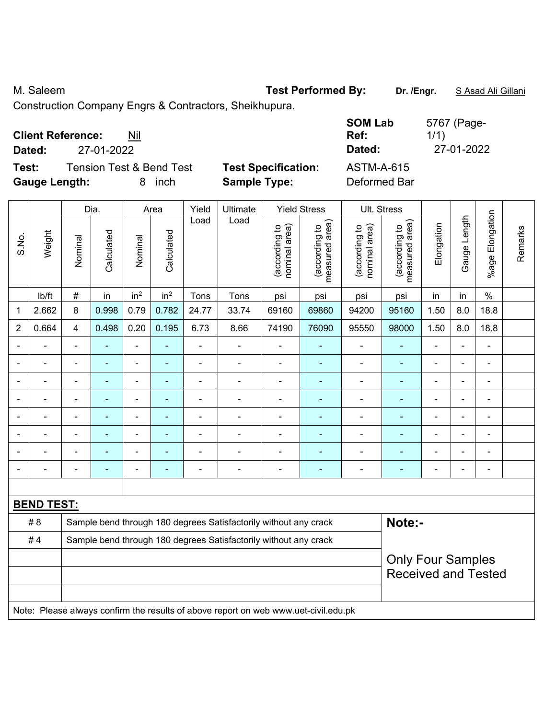M. Saleem **Test Performed By:** Dr. /Engr. **SAsad Ali Gillani** 

Construction Company Engrs & Contractors, Sheikhupura.

| <b>Client Reference:</b><br>Nil<br>27-01-2022<br>Dated:                                   |                                                   | <b>SOM Lab</b><br>Ref:<br>Dated:  | 5767 (Page-<br>1/1)<br>27-01-2022 |
|-------------------------------------------------------------------------------------------|---------------------------------------------------|-----------------------------------|-----------------------------------|
| <b>Tension Test &amp; Bend Test</b><br>Test:<br><b>Gauge Length:</b><br><i>inch</i><br>8. | <b>Test Specification:</b><br><b>Sample Type:</b> | <b>ASTM-A-615</b><br>Deformed Bar |                                   |

|                |                   |                                                                            | Dia.           |                              | Area                     | Yield          | Ultimate                                                                            |                                | <b>Yield Stress</b>             |                                | Ult. Stress                                            |                |                |                          |         |
|----------------|-------------------|----------------------------------------------------------------------------|----------------|------------------------------|--------------------------|----------------|-------------------------------------------------------------------------------------|--------------------------------|---------------------------------|--------------------------------|--------------------------------------------------------|----------------|----------------|--------------------------|---------|
| S.No.          | Weight            | Nominal                                                                    | Calculated     | Nominal                      | Calculated               | Load           | Load                                                                                | nominal area)<br>(according to | (according to<br>measured area) | nominal area)<br>(according to | (according to<br>measured area)                        | Elongation     | Gauge Length   | Elongation<br>$%$ age I  | Remarks |
|                | lb/ft             | $\#$                                                                       | in             | in <sup>2</sup>              | in <sup>2</sup>          | Tons           | Tons                                                                                | psi                            | psi                             | psi                            | psi                                                    | in             | in             | $\%$                     |         |
| 1              | 2.662             | 8                                                                          | 0.998          | 0.79                         | 0.782                    | 24.77          | 33.74                                                                               | 69160                          | 69860                           | 94200                          | 95160                                                  | 1.50           | 8.0            | 18.8                     |         |
| $\overline{2}$ | 0.664             | $\overline{4}$                                                             | 0.498          | 0.20                         | 0.195                    | 6.73           | 8.66                                                                                | 74190                          | 76090                           | 95550                          | 98000                                                  | 1.50           | 8.0            | 18.8                     |         |
| $\blacksquare$ | $\blacksquare$    | $\blacksquare$                                                             | $\blacksquare$ | ÷,                           | ÷,                       | ÷,             | ÷                                                                                   | $\blacksquare$                 | $\blacksquare$                  | $\overline{\phantom{a}}$       | ä,                                                     | $\blacksquare$ | ÷,             | $\blacksquare$           |         |
|                | $\overline{a}$    | $\blacksquare$                                                             | $\blacksquare$ | ÷,                           | ٠                        | $\blacksquare$ | ÷                                                                                   | $\blacksquare$                 | $\blacksquare$                  | $\overline{\phantom{a}}$       | ٠                                                      | $\blacksquare$ | ÷,             | $\blacksquare$           |         |
|                | $\blacksquare$    | $\blacksquare$                                                             | ٠              | $\qquad \qquad \blacksquare$ | $\blacksquare$           | $\blacksquare$ | $\blacksquare$                                                                      | $\overline{\phantom{a}}$       | $\blacksquare$                  | $\blacksquare$                 | $\blacksquare$                                         | $\blacksquare$ | ä,             | $\blacksquare$           |         |
|                |                   | $\blacksquare$                                                             |                | $\blacksquare$               | $\blacksquare$           |                |                                                                                     | $\blacksquare$                 | ۰                               | $\blacksquare$                 |                                                        |                | $\blacksquare$ | Ē,                       |         |
|                |                   |                                                                            | $\blacksquare$ | $\blacksquare$               |                          |                |                                                                                     | $\overline{\phantom{0}}$       | $\overline{a}$                  | $\overline{\phantom{0}}$       | $\blacksquare$                                         |                | ۰              | $\blacksquare$           |         |
|                |                   | $\blacksquare$                                                             |                | $\blacksquare$               |                          |                |                                                                                     | $\blacksquare$                 | $\blacksquare$                  | $\blacksquare$                 |                                                        | $\blacksquare$ | $\blacksquare$ | $\blacksquare$           |         |
|                |                   | $\blacksquare$                                                             | $\blacksquare$ | $\overline{\phantom{0}}$     |                          |                |                                                                                     | $\overline{\phantom{0}}$       | ۰                               |                                |                                                        | Ē,             | ÷              | $\blacksquare$           |         |
| $\blacksquare$ |                   | $\blacksquare$                                                             | $\blacksquare$ | $\blacksquare$               | $\overline{\phantom{0}}$ | $\blacksquare$ | $\blacksquare$                                                                      | $\blacksquare$                 | $\blacksquare$                  | $\overline{\phantom{0}}$       | $\blacksquare$                                         | $\blacksquare$ | ÷,             | $\overline{\phantom{a}}$ |         |
|                |                   |                                                                            |                |                              |                          |                |                                                                                     |                                |                                 |                                |                                                        |                |                |                          |         |
|                | <b>BEND TEST:</b> |                                                                            |                |                              |                          |                |                                                                                     |                                |                                 |                                |                                                        |                |                |                          |         |
|                | # 8               | Note:-<br>Sample bend through 180 degrees Satisfactorily without any crack |                |                              |                          |                |                                                                                     |                                |                                 |                                |                                                        |                |                |                          |         |
|                | #4                |                                                                            |                |                              |                          |                | Sample bend through 180 degrees Satisfactorily without any crack                    |                                |                                 |                                |                                                        |                |                |                          |         |
|                |                   |                                                                            |                |                              |                          |                |                                                                                     |                                |                                 |                                | <b>Only Four Samples</b><br><b>Received and Tested</b> |                |                |                          |         |
|                |                   |                                                                            |                |                              |                          |                | Note: Please always confirm the results of above report on web www.uet-civil.edu.pk |                                |                                 |                                |                                                        |                |                |                          |         |